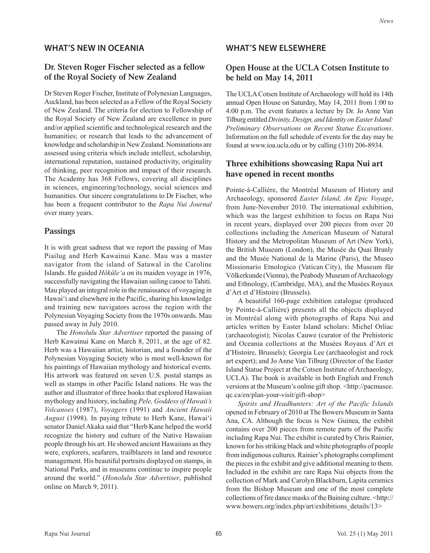#### **WHAT'S NEW IN OCEANIA**

### **Dr. Steven Roger Fischer selected as a fellow of the Royal Society of New Zealand**

Dr Steven Roger Fischer, Institute of Polynesian Languages, Auckland, has been selected as a Fellow of the Royal Society of New Zealand. The criteria for election to Fellowship of the Royal Society of New Zealand are excellence in pure and/or applied scientific and technological research and the humanities; or research that leads to the advancement of knowledge and scholarship in New Zealand. Nominations are assessed using criteria which include intellect, scholarship, international reputation, sustained productivity, originality of thinking, peer recognition and impact of their research. The Academy has 368 Fellows, covering all disciplines in sciences, engineering/technology, social sciences and humanities. Our sincere congratulations to Dr Fischer, who has been a frequent contributor to the Rapa Nui Journal over many years.

### **Passings**

It is with great sadness that we report the passing of Mau Piailug and Herb Kawainui Kane. Mau was a master navigator from the island of Satawal in the Caroline Islands. He guided Höküle'a on its maiden voyage in 1976, successfully navigating the Hawaiian sailing canoe to Tahiti. Mau played an integral role in the renaissance of voyaging in Hawai'i and elsewhere in the Pacific, sharing his knowledge and training new navigators across the region with the Polynesian Voyaging Society from the 1970s onwards. Mau passed away in July 2010.

The Honolulu Star Advertiser reported the passing of Herb Kawainui Kane on March 8, 2011, at the age of 82. Herb was a Hawaiian artist, historian, and a founder of the Polynesian Voyaging Society who is most well-known for his paintings of Hawaiian mythology and historical events. His artwork was featured on seven U.S. postal stamps as well as stamps in other Pacific Island nations. He was the author and illustrator of three books that explored Hawaiian mythology and history, including Pele, Goddess of Hawaii's Volcanoes (1987), Voyagers (1991) and Ancient Hawaii August (1998). In paying tribute to Herb Kane, Hawai'i senator Daniel Akaka said that "Herb Kane helped the world recognize the history and culture of the Native Hawaiian people through his art. He showed ancient Hawaiians as they were, explorers, seafarers, trailblazers in land and resource management. His beautiful portraits displayed on stamps, in National Parks, and in museums continue to inspire people around the world." (Honolulu Star Advertiser, published online on March 9, 2011).

#### **WHAT'S NEW ELSEWHERE**

# **Open House at the UCLA Cotsen Institute to be held on May 14, 2011**

The UCLA Cotsen Institute of Archaeology will hold its 14th annual Open House on Saturday, May 14, 2011 from 1:00 to 4:00 p.m. The event features a lecture by Dr. Jo Anne Van Tilburg entitled Divinity, Design, and Identity on Easter Island: Preliminary Observations on Recent Statue Excavations. Information on the full schedule of events for the day may be found at www.ioa.ucla.edu or by calling (310) 206-8934.

# **Three exhibitions showcasing Rapa Nui art have opened in recent months**

Pointe-à-Callière, the Montréal Museum of History and Archaeology, sponsored Easter Island, An Epic Voyage, from June-November 2010. The international exhibition, which was the largest exhibition to focus on Rapa Nui in recent years, displayed over 200 pieces from over 20 collections including the American Museum of Natural History and the Metropolitan Museum of Art (New York), the British Museum (London), the Musée du Quai Branly and the Musée National de la Marine (Paris), the Museo Missionario Etnologico (Vatican City), the Museum für Völkerkunde (Vienna), the Peabody Museum of Archaeology and Ethnology, (Cambridge, MA), and the Musées Royaux d'Art et d'Histoire (Brussels).

A beautiful 160-page exhibition catalogue (produced by Pointe-à-Callière) presents all the objects displayed in Montréal along with photographs of Rapa Nui and articles written by Easter Island scholars: Michel Orliac (archaeologist); Nicolas Cauwe (curator of the Prehistoric and Oceania collections at the Musées Royaux d'Art et d'Histoire, Brussels); Georgia Lee (archaeologist and rock art expert); and Jo Anne Van Tilburg (Director of the Easter Island Statue Project at the Cotsen Institute of Archaeology, UCLA). The book is available in both English and French versions at the Museum's online gift shop.  $\langle \text{http://pacmusee.}$ qc.ca/en/plan-your-visit/gift-shop>

Spirits and Headhunters: Art of the Pacific Islands opened in February of 2010 at The Bowers Museum in Santa Ana, CA. Although the focus is New Guinea, the exhibit contains over 200 pieces from remote parts of the Pacific including Rapa Nui. The exhibit is curated by Chris Rainier, known for his striking black and white photographs of people from indigenous cultures. Rainier's photographs compliment the pieces in the exhibit and give additional meaning to them. Included in the exhibit are rare Rapa Nui objects from the collection of Mark and Carolyn Blackburn, Lapita ceramics from the Bishop Museum and one of the most complete collections of fire dance masks of the Baining culture. <http:// www.bowers.org/index.php/art/exhibitions\_details/13>